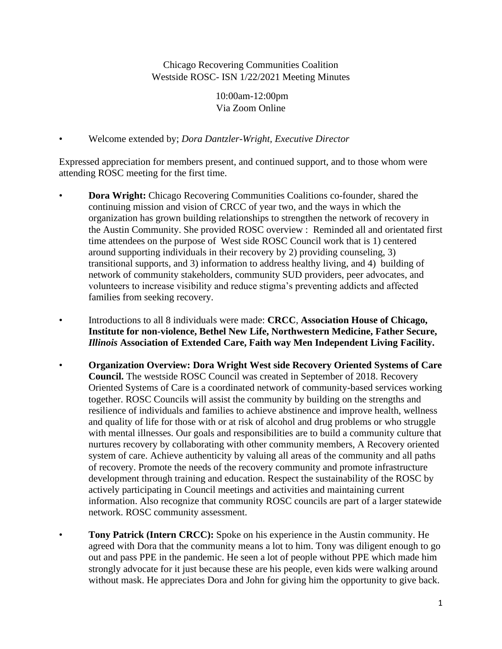Chicago Recovering Communities Coalition Westside ROSC- ISN 1/22/2021 Meeting Minutes

> 10:00am-12:00pm Via Zoom Online

• Welcome extended by; *Dora Dantzler-Wright, Executive Director*

Expressed appreciation for members present, and continued support, and to those whom were attending ROSC meeting for the first time.

- **Dora Wright:** Chicago Recovering Communities Coalitions co-founder, shared the continuing mission and vision of CRCC of year two, and the ways in which the organization has grown building relationships to strengthen the network of recovery in the Austin Community. She provided ROSC overview : Reminded all and orientated first time attendees on the purpose of West side ROSC Council work that is 1) centered around supporting individuals in their recovery by 2) providing counseling, 3) transitional supports, and 3) information to address healthy living, and 4) building of network of community stakeholders, community SUD providers, peer advocates, and volunteers to increase visibility and reduce stigma's preventing addicts and affected families from seeking recovery.
- Introductions to all 8 individuals were made: **CRCC**, **Association House of Chicago, Institute for non-violence, Bethel New Life, Northwestern Medicine, Father Secure,**  *Illinois* **Association of Extended Care, Faith way Men Independent Living Facility.**
- **Organization Overview: Dora Wright West side Recovery Oriented Systems of Care Council.** The westside ROSC Council was created in September of 2018. Recovery Oriented Systems of Care is a coordinated network of community-based services working together. ROSC Councils will assist the community by building on the strengths and resilience of individuals and families to achieve abstinence and improve health, wellness and quality of life for those with or at risk of alcohol and drug problems or who struggle with mental illnesses. Our goals and responsibilities are to build a community culture that nurtures recovery by collaborating with other community members, A Recovery oriented system of care. Achieve authenticity by valuing all areas of the community and all paths of recovery. Promote the needs of the recovery community and promote infrastructure development through training and education. Respect the sustainability of the ROSC by actively participating in Council meetings and activities and maintaining current information. Also recognize that community ROSC councils are part of a larger statewide network. ROSC community assessment.
- **Tony Patrick (Intern CRCC):** Spoke on his experience in the Austin community. He agreed with Dora that the community means a lot to him. Tony was diligent enough to go out and pass PPE in the pandemic. He seen a lot of people without PPE which made him strongly advocate for it just because these are his people, even kids were walking around without mask. He appreciates Dora and John for giving him the opportunity to give back.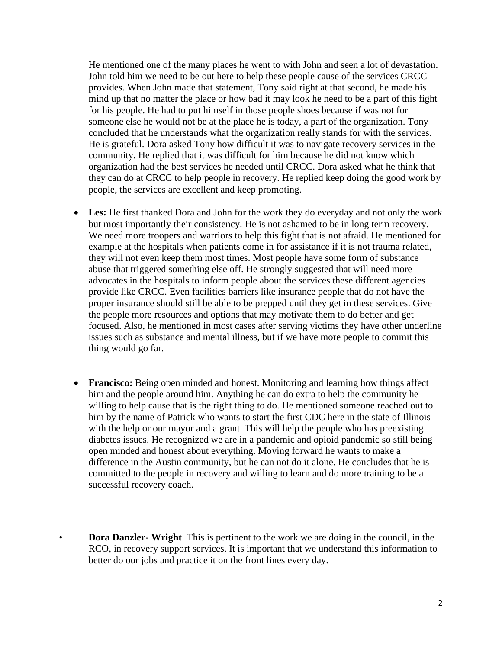He mentioned one of the many places he went to with John and seen a lot of devastation. John told him we need to be out here to help these people cause of the services CRCC provides. When John made that statement, Tony said right at that second, he made his mind up that no matter the place or how bad it may look he need to be a part of this fight for his people. He had to put himself in those people shoes because if was not for someone else he would not be at the place he is today, a part of the organization. Tony concluded that he understands what the organization really stands for with the services. He is grateful. Dora asked Tony how difficult it was to navigate recovery services in the community. He replied that it was difficult for him because he did not know which organization had the best services he needed until CRCC. Dora asked what he think that they can do at CRCC to help people in recovery. He replied keep doing the good work by people, the services are excellent and keep promoting.

- Les: He first thanked Dora and John for the work they do everyday and not only the work but most importantly their consistency. He is not ashamed to be in long term recovery. We need more troopers and warriors to help this fight that is not afraid. He mentioned for example at the hospitals when patients come in for assistance if it is not trauma related, they will not even keep them most times. Most people have some form of substance abuse that triggered something else off. He strongly suggested that will need more advocates in the hospitals to inform people about the services these different agencies provide like CRCC. Even facilities barriers like insurance people that do not have the proper insurance should still be able to be prepped until they get in these services. Give the people more resources and options that may motivate them to do better and get focused. Also, he mentioned in most cases after serving victims they have other underline issues such as substance and mental illness, but if we have more people to commit this thing would go far.
- **Francisco:** Being open minded and honest. Monitoring and learning how things affect him and the people around him. Anything he can do extra to help the community he willing to help cause that is the right thing to do. He mentioned someone reached out to him by the name of Patrick who wants to start the first CDC here in the state of Illinois with the help or our mayor and a grant. This will help the people who has preexisting diabetes issues. He recognized we are in a pandemic and opioid pandemic so still being open minded and honest about everything. Moving forward he wants to make a difference in the Austin community, but he can not do it alone. He concludes that he is committed to the people in recovery and willing to learn and do more training to be a successful recovery coach.
- **Dora Danzler- Wright**. This is pertinent to the work we are doing in the council, in the RCO, in recovery support services. It is important that we understand this information to better do our jobs and practice it on the front lines every day.